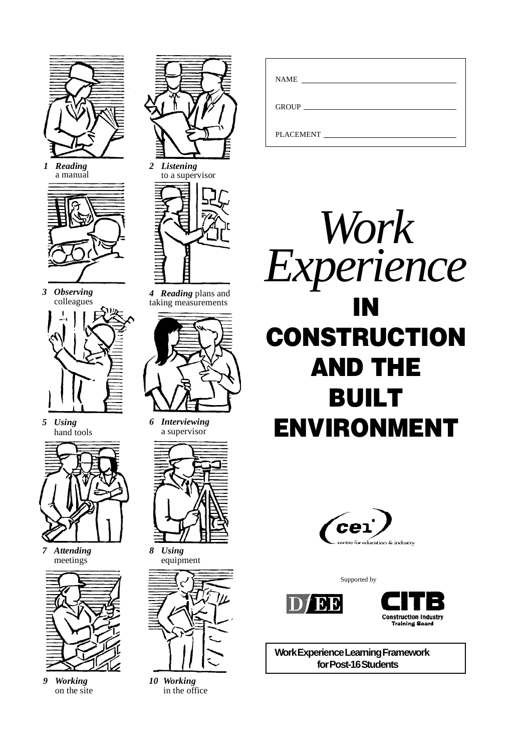

*1 Reading* a manual



*3 Observing* colleagues



*5 Using* hand tools



*7 Attending* meetings



*9 Working* on the site



*2 Listening* to a supervisor



*4 Reading* plans and taking measurements



*6 Interviewing* a supervisor



*8 Using* equipment



*10 Working* in the office

| <b>NAME</b>      | <u> 1989 - Andrea Aonaich, ann an t-Aonaich an t-Aonaich an t-Aonaich an t-Aonaich an t-Aonaich an t-Aonaich an t-</u> |  |
|------------------|------------------------------------------------------------------------------------------------------------------------|--|
|                  |                                                                                                                        |  |
| GROUP            |                                                                                                                        |  |
|                  |                                                                                                                        |  |
| <b>PLACEMENT</b> |                                                                                                                        |  |
|                  |                                                                                                                        |  |





Supported by





**Work Experience Learning Framework for Post-16 Students**